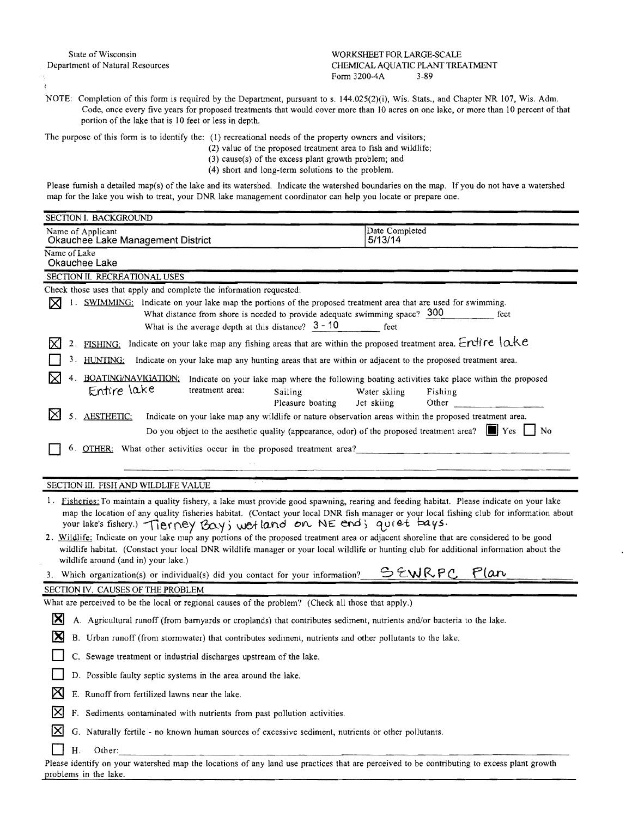## State of Wisconsin WORKSHEET FOR LARGE-SCALE Department of Natural Resources CHEMICAL AQUATIC PLANT TREATMENT Form 3200-4A 3-89

NOTE: Completion of this form is required by the Department, pursuant to s. 144.025(2)(i), Wis. Stats., and Chapter NR 107, Wis. Adm. Code, once every five years for proposed treatments that would cover more than 10 acres on one lake, or more than 10 percent of that portion of the lake that is 10 feet or less in depth.

The purpose of this form is to identify the: (1) recreational needs of the property owners and visitors;

- (2) value of the proposed treatment area to fish and wildlife;
- (3) cause(s) of the excess plant growth problem; and
- (4) short and long-term solutions to the problem.

Please furnish a detailed map(s) of the lake and its watershed. Indicate the watershed boundaries on the map. If you do not have a watershed map for the lake you wish to treat, your DNR lake management coordinator can help you locate or prepare one.

| SECTION I. BACKGROUND                                                                                                                                                                                                                                                                                                                                                                                                                                                                                                                                                                                                                                                                                 |                                                                                                                                                   |
|-------------------------------------------------------------------------------------------------------------------------------------------------------------------------------------------------------------------------------------------------------------------------------------------------------------------------------------------------------------------------------------------------------------------------------------------------------------------------------------------------------------------------------------------------------------------------------------------------------------------------------------------------------------------------------------------------------|---------------------------------------------------------------------------------------------------------------------------------------------------|
| Name of Applicant<br>Okauchee Lake Management District                                                                                                                                                                                                                                                                                                                                                                                                                                                                                                                                                                                                                                                | Date Completed<br>5/13/14                                                                                                                         |
| Name of Lake<br>Okauchee Lake                                                                                                                                                                                                                                                                                                                                                                                                                                                                                                                                                                                                                                                                         |                                                                                                                                                   |
| SECTION II. RECREATIONAL USES                                                                                                                                                                                                                                                                                                                                                                                                                                                                                                                                                                                                                                                                         |                                                                                                                                                   |
| Check those uses that apply and complete the information requested:                                                                                                                                                                                                                                                                                                                                                                                                                                                                                                                                                                                                                                   |                                                                                                                                                   |
| 1. SWIMMING: Indicate on your lake map the portions of the proposed treatment area that are used for swimming.<br>M<br>What distance from shore is needed to provide adequate swimming space? 300<br>What is the average depth at this distance? $3 - 10$                                                                                                                                                                                                                                                                                                                                                                                                                                             | feet<br>feet                                                                                                                                      |
| FISHING: Indicate on your lake map any fishing areas that are within the proposed treatment area. Ervire $\alpha$ Ke<br>2.                                                                                                                                                                                                                                                                                                                                                                                                                                                                                                                                                                            |                                                                                                                                                   |
| Indicate on your lake map any hunting areas that are within or adjacent to the proposed treatment area.<br>HUNTING:                                                                                                                                                                                                                                                                                                                                                                                                                                                                                                                                                                                   |                                                                                                                                                   |
| BOATING/NAVIGATION:<br>Entire lake<br>treatment area:<br>Sailing<br>Pleasure boating                                                                                                                                                                                                                                                                                                                                                                                                                                                                                                                                                                                                                  | Indicate on your lake map where the following boating activities take place within the proposed<br>Water skiing<br>Fishing<br>Jet skiing<br>Other |
| ⋉<br><b>AESTHETIC:</b><br>Indicate on your lake map any wildlife or nature observation areas within the proposed treatment area.                                                                                                                                                                                                                                                                                                                                                                                                                                                                                                                                                                      |                                                                                                                                                   |
| Do you object to the aesthetic quality (appearance, odor) of the proposed treatment area?                                                                                                                                                                                                                                                                                                                                                                                                                                                                                                                                                                                                             | $\blacksquare$ Yes<br>No                                                                                                                          |
| 6. OTHER: What other activities occur in the proposed treatment area?                                                                                                                                                                                                                                                                                                                                                                                                                                                                                                                                                                                                                                 |                                                                                                                                                   |
|                                                                                                                                                                                                                                                                                                                                                                                                                                                                                                                                                                                                                                                                                                       |                                                                                                                                                   |
| SECTION III. FISH AND WILDLIFE VALUE                                                                                                                                                                                                                                                                                                                                                                                                                                                                                                                                                                                                                                                                  |                                                                                                                                                   |
| <sup>1</sup> . Fisheries: To maintain a quality fishery, a lake must provide good spawning, rearing and feeding habitat. Please indicate on your lake<br>map the location of any quality fisheries habitat. (Contact your local DNR fish manager or your local fishing club for information about<br>your lake's fishery.) Tierney Bay; wet land on NE end; quiet bays.<br>2. Wildlife: Indicate on your lake map any portions of the proposed treatment area or adjacent shoreline that are considered to be good<br>wildlife habitat. (Constact your local DNR wildlife manager or your local wildlife or hunting club for additional information about the<br>wildlife around (and in) your lake.) |                                                                                                                                                   |
| 3. Which organization(s) or individual(s) did you contact for your information?                                                                                                                                                                                                                                                                                                                                                                                                                                                                                                                                                                                                                       | SEWRPC Plan                                                                                                                                       |
| SECTION IV. CAUSES OF THE PROBLEM                                                                                                                                                                                                                                                                                                                                                                                                                                                                                                                                                                                                                                                                     |                                                                                                                                                   |
| What are perceived to be the local or regional causes of the problem? (Check all those that apply.)                                                                                                                                                                                                                                                                                                                                                                                                                                                                                                                                                                                                   |                                                                                                                                                   |
| IХ<br>A. Agricultural runoff (from barnyards or croplands) that contributes sediment, nutrients and/or bacteria to the lake.                                                                                                                                                                                                                                                                                                                                                                                                                                                                                                                                                                          |                                                                                                                                                   |
| IХ<br>B. Urban runoff (from stormwater) that contributes sediment, nutrients and other pollutants to the lake.                                                                                                                                                                                                                                                                                                                                                                                                                                                                                                                                                                                        |                                                                                                                                                   |
| C. Sewage treatment or industrial discharges upstream of the lake.                                                                                                                                                                                                                                                                                                                                                                                                                                                                                                                                                                                                                                    |                                                                                                                                                   |
| D. Possible faulty septic systems in the area around the lake.                                                                                                                                                                                                                                                                                                                                                                                                                                                                                                                                                                                                                                        |                                                                                                                                                   |
| к<br>E. Runoff from fertilized lawns near the lake.                                                                                                                                                                                                                                                                                                                                                                                                                                                                                                                                                                                                                                                   |                                                                                                                                                   |
| ΙX<br>F. Sediments contaminated with nutrients from past pollution activities.                                                                                                                                                                                                                                                                                                                                                                                                                                                                                                                                                                                                                        |                                                                                                                                                   |
| IХ<br>G. Naturally fertile - no known human sources of excessive sediment, nutrients or other pollutants.                                                                                                                                                                                                                                                                                                                                                                                                                                                                                                                                                                                             |                                                                                                                                                   |
| Η.<br>Other:                                                                                                                                                                                                                                                                                                                                                                                                                                                                                                                                                                                                                                                                                          |                                                                                                                                                   |
| Please identify on your watershed map the locations of any land use practices that are perceived to be contributing to excess plant growth<br>problems in the lake.                                                                                                                                                                                                                                                                                                                                                                                                                                                                                                                                   |                                                                                                                                                   |